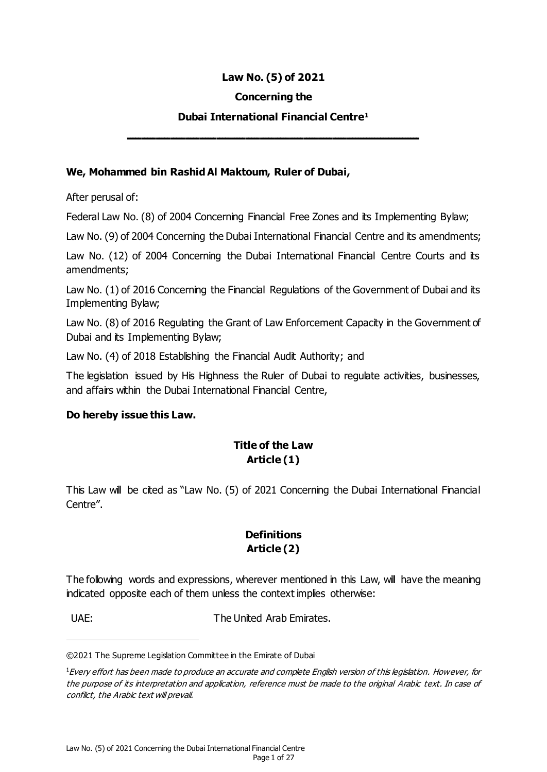#### **Law No. (5) of 2021**

#### **Concerning the**

#### **Dubai International Financial Centre<sup>1</sup>**

**ــــــــــــــــــــــــــــــــــــــــــــــــــــــــــــــــــــــــــــــــــــــــــــــــــــــ**

#### **We, Mohammed bin Rashid Al Maktoum, Ruler of Dubai,**

After perusal of:

Federal Law No. (8) of 2004 Concerning Financial Free Zones and its Implementing Bylaw;

Law No. (9) of 2004 Concerning the Dubai International Financial Centre and its amendments;

Law No. (12) of 2004 Concerning the Dubai International Financial Centre Courts and its amendments;

Law No. (1) of 2016 Concerning the Financial Regulations of the Government of Dubai and its Implementing Bylaw;

Law No. (8) of 2016 Regulating the Grant of Law Enforcement Capacity in the Government of Dubai and its Implementing Bylaw;

Law No. (4) of 2018 Establishing the Financial Audit Authority; and

The legislation issued by His Highness the Ruler of Dubai to regulate activities, businesses, and affairs within the Dubai International Financial Centre,

#### **Do hereby issue this Law.**

# **Title of the Law Article (1)**

This Law will be cited as "Law No. (5) of 2021 Concerning the Dubai International Financial Centre".

### **Definitions Article (2)**

The following words and expressions, wherever mentioned in this Law, will have the meaning indicated opposite each of them unless the context implies otherwise:

l

UAE: UAE: The United Arab Emirates.

©2021 The Supreme Legislation Committee in the Emirate of Dubai

 $1$ Every effort has been made to produce an accurate and complete English version of this legislation. However, for the purpose of its interpretation and application, reference must be made to the original Arabic text. In case of conflict, the Arabic text will prevail.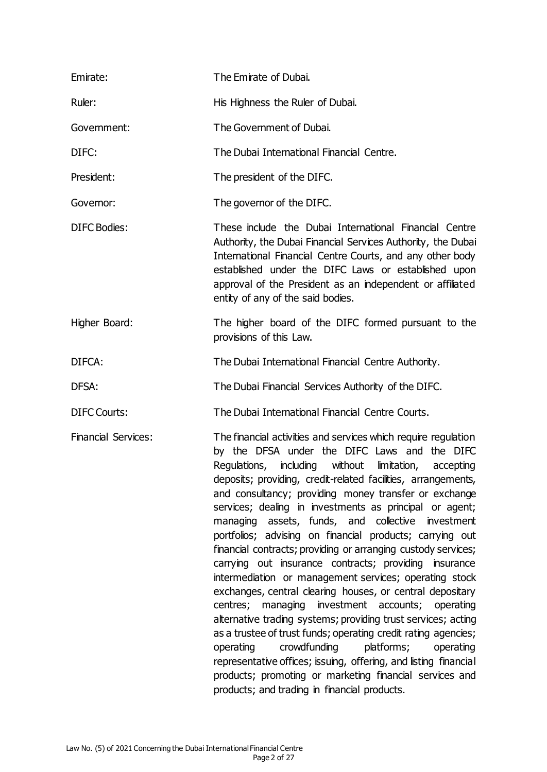| Emirate:                   | The Emirate of Dubai.                                                                                                                                                                                                                                                                                                                                                                                                                                                                                                                                                                                                                                                                                                                                                                                                                                                                                                                                                                                                                                                                                                                                                |
|----------------------------|----------------------------------------------------------------------------------------------------------------------------------------------------------------------------------------------------------------------------------------------------------------------------------------------------------------------------------------------------------------------------------------------------------------------------------------------------------------------------------------------------------------------------------------------------------------------------------------------------------------------------------------------------------------------------------------------------------------------------------------------------------------------------------------------------------------------------------------------------------------------------------------------------------------------------------------------------------------------------------------------------------------------------------------------------------------------------------------------------------------------------------------------------------------------|
| Ruler:                     | His Highness the Ruler of Dubai.                                                                                                                                                                                                                                                                                                                                                                                                                                                                                                                                                                                                                                                                                                                                                                                                                                                                                                                                                                                                                                                                                                                                     |
| Government:                | The Government of Dubai.                                                                                                                                                                                                                                                                                                                                                                                                                                                                                                                                                                                                                                                                                                                                                                                                                                                                                                                                                                                                                                                                                                                                             |
| DIFC:                      | The Dubai International Financial Centre.                                                                                                                                                                                                                                                                                                                                                                                                                                                                                                                                                                                                                                                                                                                                                                                                                                                                                                                                                                                                                                                                                                                            |
| President:                 | The president of the DIFC.                                                                                                                                                                                                                                                                                                                                                                                                                                                                                                                                                                                                                                                                                                                                                                                                                                                                                                                                                                                                                                                                                                                                           |
| Governor:                  | The governor of the DIFC.                                                                                                                                                                                                                                                                                                                                                                                                                                                                                                                                                                                                                                                                                                                                                                                                                                                                                                                                                                                                                                                                                                                                            |
| <b>DIFC Bodies:</b>        | These include the Dubai International Financial Centre<br>Authority, the Dubai Financial Services Authority, the Dubai<br>International Financial Centre Courts, and any other body<br>established under the DIFC Laws or established upon<br>approval of the President as an independent or affiliated<br>entity of any of the said bodies.                                                                                                                                                                                                                                                                                                                                                                                                                                                                                                                                                                                                                                                                                                                                                                                                                         |
| Higher Board:              | The higher board of the DIFC formed pursuant to the<br>provisions of this Law.                                                                                                                                                                                                                                                                                                                                                                                                                                                                                                                                                                                                                                                                                                                                                                                                                                                                                                                                                                                                                                                                                       |
| DIFCA:                     | The Dubai International Financial Centre Authority.                                                                                                                                                                                                                                                                                                                                                                                                                                                                                                                                                                                                                                                                                                                                                                                                                                                                                                                                                                                                                                                                                                                  |
| DFSA:                      | The Dubai Financial Services Authority of the DIFC.                                                                                                                                                                                                                                                                                                                                                                                                                                                                                                                                                                                                                                                                                                                                                                                                                                                                                                                                                                                                                                                                                                                  |
| <b>DIFC Courts:</b>        | The Dubai International Financial Centre Courts.                                                                                                                                                                                                                                                                                                                                                                                                                                                                                                                                                                                                                                                                                                                                                                                                                                                                                                                                                                                                                                                                                                                     |
| <b>Financial Services:</b> | The financial activities and services which require regulation<br>by the DFSA under the DIFC Laws and the DIFC<br>Regulations, including without<br>limitation,<br>accepting<br>deposits; providing, credit-related facilities, arrangements,<br>and consultancy; providing money transfer or exchange<br>services; dealing in investments as principal or agent;<br>managing assets, funds, and collective<br>investment<br>portfolios; advising on financial products; carrying out<br>financial contracts; providing or arranging custody services;<br>carrying out insurance contracts; providing insurance<br>intermediation or management services; operating stock<br>exchanges, central clearing houses, or central depositary<br>centres; managing investment accounts; operating<br>alternative trading systems; providing trust services; acting<br>as a trustee of trust funds; operating credit rating agencies;<br>crowdfunding<br>platforms;<br>operating<br>operating<br>representative offices; issuing, offering, and listing financial<br>products; promoting or marketing financial services and<br>products; and trading in financial products. |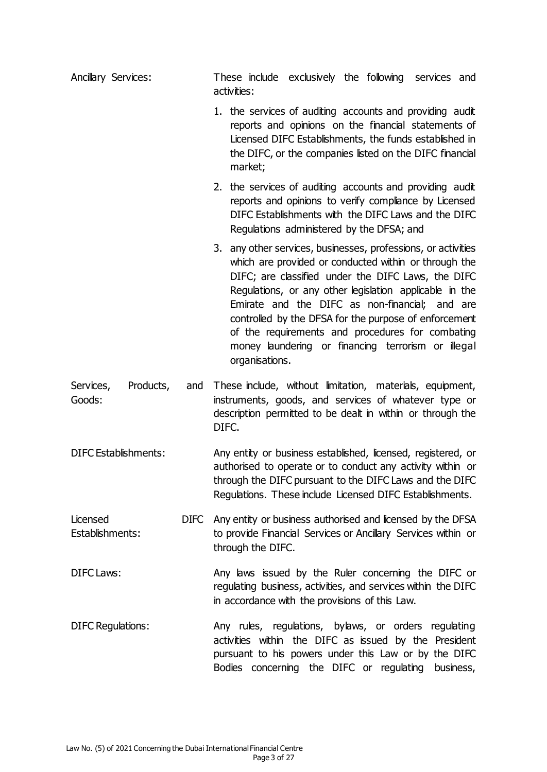| Ancillary Services:              |     | These include exclusively the following services and<br>activities:                                                                                                                                                                                                                                                                                                                                                                                                            |
|----------------------------------|-----|--------------------------------------------------------------------------------------------------------------------------------------------------------------------------------------------------------------------------------------------------------------------------------------------------------------------------------------------------------------------------------------------------------------------------------------------------------------------------------|
|                                  |     | 1. the services of auditing accounts and providing audit<br>reports and opinions on the financial statements of<br>Licensed DIFC Establishments, the funds established in<br>the DIFC, or the companies listed on the DIFC financial<br>market;                                                                                                                                                                                                                                |
|                                  |     | 2. the services of auditing accounts and providing audit<br>reports and opinions to verify compliance by Licensed<br>DIFC Establishments with the DIFC Laws and the DIFC<br>Regulations administered by the DFSA; and                                                                                                                                                                                                                                                          |
|                                  |     | 3. any other services, businesses, professions, or activities<br>which are provided or conducted within or through the<br>DIFC; are classified under the DIFC Laws, the DIFC<br>Regulations, or any other legislation applicable in the<br>Emirate and the DIFC as non-financial; and are<br>controlled by the DFSA for the purpose of enforcement<br>of the requirements and procedures for combating<br>money laundering or financing terrorism or illegal<br>organisations. |
| Products,<br>Services,<br>Goods: | and | These include, without limitation, materials, equipment,<br>instruments, goods, and services of whatever type or<br>description permitted to be dealt in within or through the<br>DIFC.                                                                                                                                                                                                                                                                                        |
| DIFC Establishments:             |     | Any entity or business established, licensed, registered, or<br>authorised to operate or to conduct any activity within or<br>through the DIFC pursuant to the DIFC Laws and the DIFC<br>Regulations. These include Licensed DIFC Establishments.                                                                                                                                                                                                                              |
| Licensed<br>Establishments:      |     | DIFC Any entity or business authorised and licensed by the DFSA<br>to provide Financial Services or Ancillary Services within or<br>through the DIFC.                                                                                                                                                                                                                                                                                                                          |
| <b>DIFC Laws:</b>                |     | Any laws issued by the Ruler concerning the DIFC or<br>regulating business, activities, and services within the DIFC<br>in accordance with the provisions of this Law.                                                                                                                                                                                                                                                                                                         |
| <b>DIFC Regulations:</b>         |     | Any rules, regulations, bylaws, or orders regulating<br>activities within the DIFC as issued by the President<br>pursuant to his powers under this Law or by the DIFC<br>Bodies concerning the DIFC or regulating business,                                                                                                                                                                                                                                                    |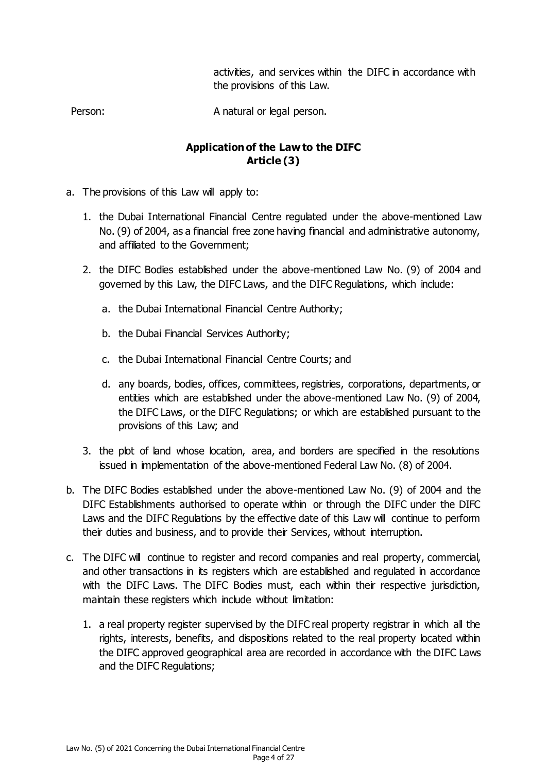activities, and services within the DIFC in accordance with the provisions of this Law.

Person: A natural or legal person.

## **Application of the Law to the DIFC Article (3)**

- a. The provisions of this Law will apply to:
	- 1. the Dubai International Financial Centre regulated under the above-mentioned Law No. (9) of 2004, as a financial free zone having financial and administrative autonomy, and affiliated to the Government;
	- 2. the DIFC Bodies established under the above-mentioned Law No. (9) of 2004 and governed by this Law, the DIFC Laws, and the DIFC Regulations, which include:
		- a. the Dubai International Financial Centre Authority;
		- b. the Dubai Financial Services Authority;
		- c. the Dubai International Financial Centre Courts; and
		- d. any boards, bodies, offices, committees, registries, corporations, departments, or entities which are established under the above-mentioned Law No. (9) of 2004, the DIFC Laws, or the DIFC Regulations; or which are established pursuant to the provisions of this Law; and
	- 3. the plot of land whose location, area, and borders are specified in the resolutions issued in implementation of the above-mentioned Federal Law No. (8) of 2004.
- b. The DIFC Bodies established under the above-mentioned Law No. (9) of 2004 and the DIFC Establishments authorised to operate within or through the DIFC under the DIFC Laws and the DIFC Regulations by the effective date of this Law will continue to perform their duties and business, and to provide their Services, without interruption.
- c. The DIFC will continue to register and record companies and real property, commercial, and other transactions in its registers which are established and regulated in accordance with the DIFC Laws. The DIFC Bodies must, each within their respective jurisdiction, maintain these registers which include without limitation:
	- 1. a real property register supervised by the DIFC real property registrar in which all the rights, interests, benefits, and dispositions related to the real property located within the DIFC approved geographical area are recorded in accordance with the DIFC Laws and the DIFC Regulations;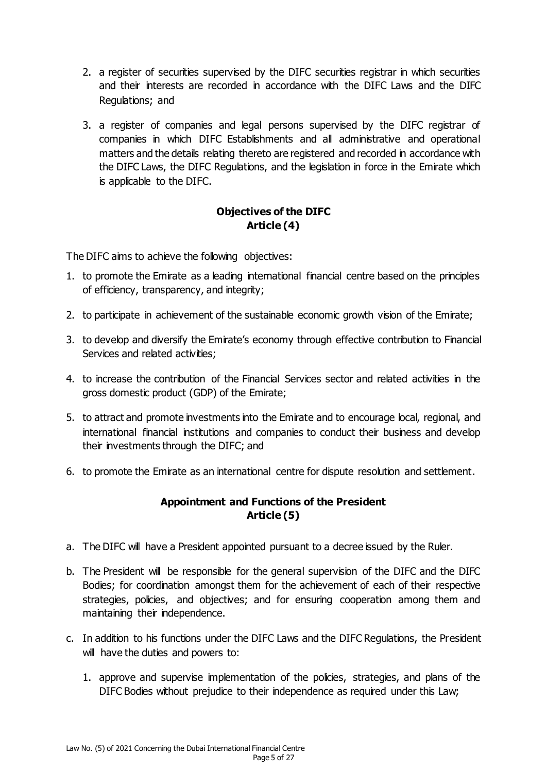- 2. a register of securities supervised by the DIFC securities registrar in which securities and their interests are recorded in accordance with the DIFC Laws and the DIFC Regulations; and
- 3. a register of companies and legal persons supervised by the DIFC registrar of companies in which DIFC Establishments and all administrative and operational matters and the details relating thereto are registered and recorded in accordance with the DIFC Laws, the DIFC Regulations, and the legislation in force in the Emirate which is applicable to the DIFC.

## **Objectives of the DIFC Article (4)**

The DIFC aims to achieve the following objectives:

- 1. to promote the Emirate as a leading international financial centre based on the principles of efficiency, transparency, and integrity;
- 2. to participate in achievement of the sustainable economic growth vision of the Emirate;
- 3. to develop and diversify the Emirate's economy through effective contribution to Financial Services and related activities;
- 4. to increase the contribution of the Financial Services sector and related activities in the gross domestic product (GDP) of the Emirate;
- 5. to attract and promote investments into the Emirate and to encourage local, regional, and international financial institutions and companies to conduct their business and develop their investments through the DIFC; and
- 6. to promote the Emirate as an international centre for dispute resolution and settlement.

### **Appointment and Functions of the President Article (5)**

- a. The DIFC will have a President appointed pursuant to a decree issued by the Ruler.
- b. The President will be responsible for the general supervision of the DIFC and the DIFC Bodies; for coordination amongst them for the achievement of each of their respective strategies, policies, and objectives; and for ensuring cooperation among them and maintaining their independence.
- c. In addition to his functions under the DIFC Laws and the DIFC Regulations, the President will have the duties and powers to:
	- 1. approve and supervise implementation of the policies, strategies, and plans of the DIFC Bodies without prejudice to their independence as required under this Law;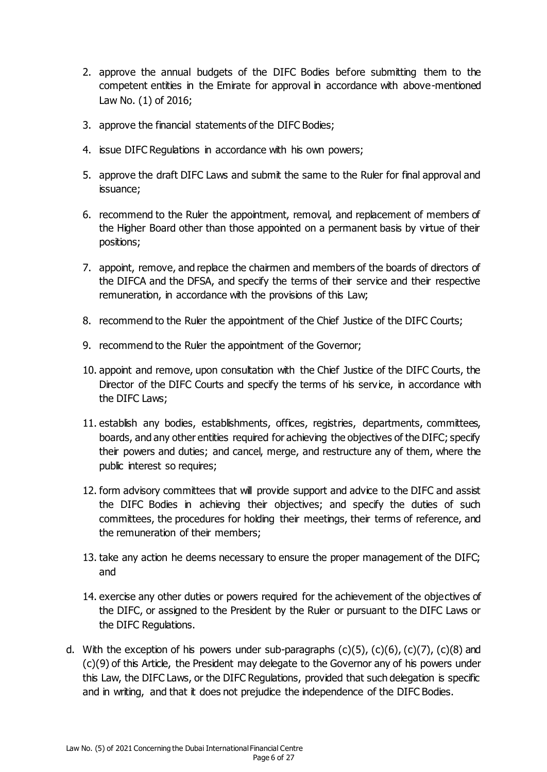- 2. approve the annual budgets of the DIFC Bodies before submitting them to the competent entities in the Emirate for approval in accordance with above-mentioned Law No. (1) of 2016;
- 3. approve the financial statements of the DIFC Bodies;
- 4. issue DIFC Regulations in accordance with his own powers;
- 5. approve the draft DIFC Laws and submit the same to the Ruler for final approval and issuance;
- 6. recommend to the Ruler the appointment, removal, and replacement of members of the Higher Board other than those appointed on a permanent basis by virtue of their positions;
- 7. appoint, remove, and replace the chairmen and members of the boards of directors of the DIFCA and the DFSA, and specify the terms of their service and their respective remuneration, in accordance with the provisions of this Law;
- 8. recommend to the Ruler the appointment of the Chief Justice of the DIFC Courts;
- 9. recommend to the Ruler the appointment of the Governor;
- 10. appoint and remove, upon consultation with the Chief Justice of the DIFC Courts, the Director of the DIFC Courts and specify the terms of his service, in accordance with the DIFC Laws;
- 11. establish any bodies, establishments, offices, registries, departments, committees, boards, and any other entities required for achieving the objectives of the DIFC; specify their powers and duties; and cancel, merge, and restructure any of them, where the public interest so requires;
- 12. form advisory committees that will provide support and advice to the DIFC and assist the DIFC Bodies in achieving their objectives; and specify the duties of such committees, the procedures for holding their meetings, their terms of reference, and the remuneration of their members;
- 13. take any action he deems necessary to ensure the proper management of the DIFC; and
- 14. exercise any other duties or powers required for the achievement of the objectives of the DIFC, or assigned to the President by the Ruler or pursuant to the DIFC Laws or the DIFC Regulations.
- d. With the exception of his powers under sub-paragraphs  $(c)(5)$ ,  $(c)(6)$ ,  $(c)(7)$ ,  $(c)(8)$  and (c)(9) of this Article, the President may delegate to the Governor any of his powers under this Law, the DIFC Laws, or the DIFC Regulations, provided that such delegation is specific and in writing, and that it does not prejudice the independence of the DIFC Bodies.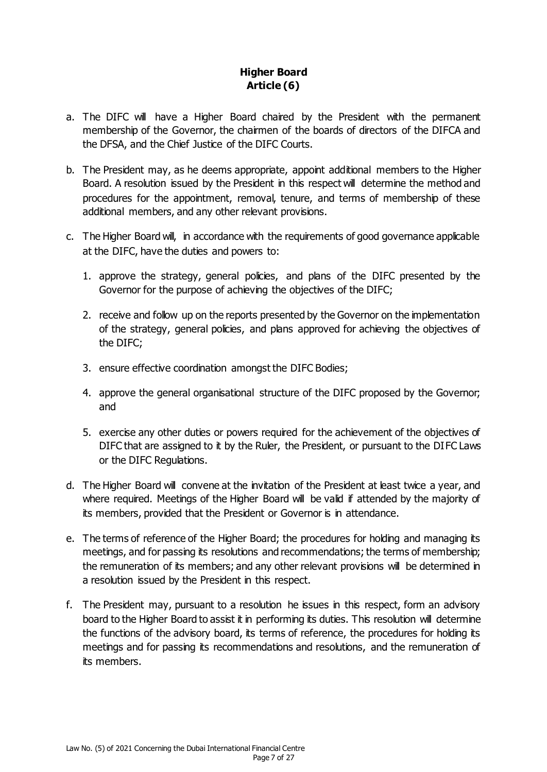## **Higher Board Article (6)**

- a. The DIFC will have a Higher Board chaired by the President with the permanent membership of the Governor, the chairmen of the boards of directors of the DIFCA and the DFSA, and the Chief Justice of the DIFC Courts.
- b. The President may, as he deems appropriate, appoint additional members to the Higher Board. A resolution issued by the President in this respect will determine the method and procedures for the appointment, removal, tenure, and terms of membership of these additional members, and any other relevant provisions.
- c. The Higher Board will, in accordance with the requirements of good governance applicable at the DIFC, have the duties and powers to:
	- 1. approve the strategy, general policies, and plans of the DIFC presented by the Governor for the purpose of achieving the objectives of the DIFC;
	- 2. receive and follow up on the reports presented by the Governor on the implementation of the strategy, general policies, and plans approved for achieving the objectives of the DIFC;
	- 3. ensure effective coordination amongst the DIFC Bodies;
	- 4. approve the general organisational structure of the DIFC proposed by the Governor; and
	- 5. exercise any other duties or powers required for the achievement of the objectives of DIFC that are assigned to it by the Ruler, the President, or pursuant to the DIFC Laws or the DIFC Regulations.
- d. The Higher Board will convene at the invitation of the President at least twice a year, and where required. Meetings of the Higher Board will be valid if attended by the majority of its members, provided that the President or Governor is in attendance.
- e. The terms of reference of the Higher Board; the procedures for holding and managing its meetings, and for passing its resolutions and recommendations; the terms of membership; the remuneration of its members; and any other relevant provisions will be determined in a resolution issued by the President in this respect.
- f. The President may, pursuant to a resolution he issues in this respect, form an advisory board to the Higher Board to assist it in performing its duties. This resolution will determine the functions of the advisory board, its terms of reference, the procedures for holding its meetings and for passing its recommendations and resolutions, and the remuneration of its members.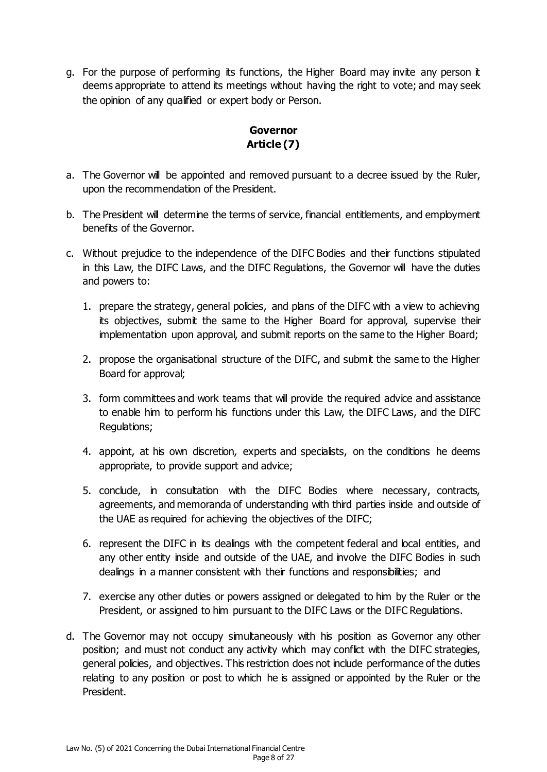g. For the purpose of performing its functions, the Higher Board may invite any person it deems appropriate to attend its meetings without having the right to vote; and may seek the opinion of any qualified or expert body or Person.

## **Governor Article (7)**

- a. The Governor will be appointed and removed pursuant to a decree issued by the Ruler, upon the recommendation of the President.
- b. The President will determine the terms of service, financial entitlements, and employment benefits of the Governor.
- c. Without prejudice to the independence of the DIFC Bodies and their functions stipulated in this Law, the DIFC Laws, and the DIFC Regulations, the Governor will have the duties and powers to:
	- 1. prepare the strategy, general policies, and plans of the DIFC with a view to achieving its objectives, submit the same to the Higher Board for approval, supervise their implementation upon approval, and submit reports on the same to the Higher Board;
	- 2. propose the organisational structure of the DIFC, and submit the same to the Higher Board for approval;
	- 3. form committees and work teams that will provide the required advice and assistance to enable him to perform his functions under this Law, the DIFC Laws, and the DIFC Regulations;
	- 4. appoint, at his own discretion, experts and specialists, on the conditions he deems appropriate, to provide support and advice;
	- 5. conclude, in consultation with the DIFC Bodies where necessary, contracts, agreements, and memoranda of understanding with third parties inside and outside of the UAE as required for achieving the objectives of the DIFC;
	- 6. represent the DIFC in its dealings with the competent federal and local entities, and any other entity inside and outside of the UAE, and involve the DIFC Bodies in such dealings in a manner consistent with their functions and responsibilities; and
	- 7. exercise any other duties or powers assigned or delegated to him by the Ruler or the President, or assigned to him pursuant to the DIFC Laws or the DIFC Regulations.
- d. The Governor may not occupy simultaneously with his position as Governor any other position; and must not conduct any activity which may conflict with the DIFC strategies, general policies, and objectives. This restriction does not include performance of the duties relating to any position or post to which he is assigned or appointed by the Ruler or the President.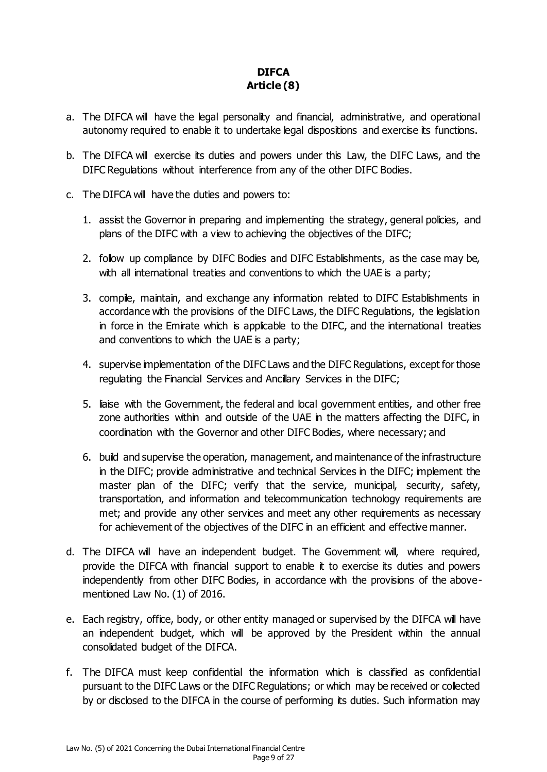# **DIFCA Article (8)**

- a. The DIFCA will have the legal personality and financial, administrative, and operational autonomy required to enable it to undertake legal dispositions and exercise its functions.
- b. The DIFCA will exercise its duties and powers under this Law, the DIFC Laws, and the DIFC Regulations without interference from any of the other DIFC Bodies.
- c. The DIFCA will have the duties and powers to:
	- 1. assist the Governor in preparing and implementing the strategy, general policies, and plans of the DIFC with a view to achieving the objectives of the DIFC;
	- 2. follow up compliance by DIFC Bodies and DIFC Establishments, as the case may be, with all international treaties and conventions to which the UAE is a party;
	- 3. compile, maintain, and exchange any information related to DIFC Establishments in accordance with the provisions of the DIFC Laws, the DIFC Regulations, the legislation in force in the Emirate which is applicable to the DIFC, and the international treaties and conventions to which the UAE is a party;
	- 4. supervise implementation of the DIFC Laws and the DIFC Regulations, except for those regulating the Financial Services and Ancillary Services in the DIFC;
	- 5. liaise with the Government, the federal and local government entities, and other free zone authorities within and outside of the UAE in the matters affecting the DIFC, in coordination with the Governor and other DIFC Bodies, where necessary; and
	- 6. build and supervise the operation, management, and maintenance of the infrastructure in the DIFC; provide administrative and technical Services in the DIFC; implement the master plan of the DIFC; verify that the service, municipal, security, safety, transportation, and information and telecommunication technology requirements are met; and provide any other services and meet any other requirements as necessary for achievement of the objectives of the DIFC in an efficient and effective manner.
- d. The DIFCA will have an independent budget. The Government will, where required, provide the DIFCA with financial support to enable it to exercise its duties and powers independently from other DIFC Bodies, in accordance with the provisions of the abovementioned Law No. (1) of 2016.
- e. Each registry, office, body, or other entity managed or supervised by the DIFCA will have an independent budget, which will be approved by the President within the annual consolidated budget of the DIFCA.
- f. The DIFCA must keep confidential the information which is classified as confidential pursuant to the DIFC Laws or the DIFC Regulations; or which may be received or collected by or disclosed to the DIFCA in the course of performing its duties. Such information may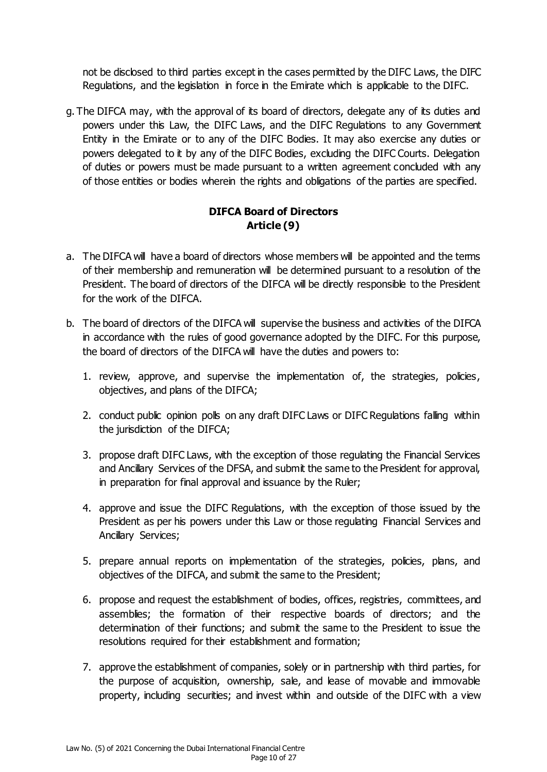not be disclosed to third parties except in the cases permitted by the DIFC Laws, the DIFC Regulations, and the legislation in force in the Emirate which is applicable to the DIFC.

g. The DIFCA may, with the approval of its board of directors, delegate any of its duties and powers under this Law, the DIFC Laws, and the DIFC Regulations to any Government Entity in the Emirate or to any of the DIFC Bodies. It may also exercise any duties or powers delegated to it by any of the DIFC Bodies, excluding the DIFC Courts. Delegation of duties or powers must be made pursuant to a written agreement concluded with any of those entities or bodies wherein the rights and obligations of the parties are specified.

### **DIFCA Board of Directors Article (9)**

- a. The DIFCA will have a board of directors whose members will be appointed and the terms of their membership and remuneration will be determined pursuant to a resolution of the President. The board of directors of the DIFCA will be directly responsible to the President for the work of the DIFCA.
- b. The board of directors of the DIFCA will supervise the business and activities of the DIFCA in accordance with the rules of good governance adopted by the DIFC. For this purpose, the board of directors of the DIFCA will have the duties and powers to:
	- 1. review, approve, and supervise the implementation of, the strategies, policies, objectives, and plans of the DIFCA;
	- 2. conduct public opinion polls on any draft DIFC Laws or DIFC Regulations falling within the jurisdiction of the DIFCA;
	- 3. propose draft DIFC Laws, with the exception of those regulating the Financial Services and Ancillary Services of the DFSA, and submit the same to the President for approval, in preparation for final approval and issuance by the Ruler;
	- 4. approve and issue the DIFC Regulations, with the exception of those issued by the President as per his powers under this Law or those regulating Financial Services and Ancillary Services;
	- 5. prepare annual reports on implementation of the strategies, policies, plans, and objectives of the DIFCA, and submit the same to the President;
	- 6. propose and request the establishment of bodies, offices, registries, committees, and assemblies; the formation of their respective boards of directors; and the determination of their functions; and submit the same to the President to issue the resolutions required for their establishment and formation;
	- 7. approve the establishment of companies, solely or in partnership with third parties, for the purpose of acquisition, ownership, sale, and lease of movable and immovable property, including securities; and invest within and outside of the DIFC with a view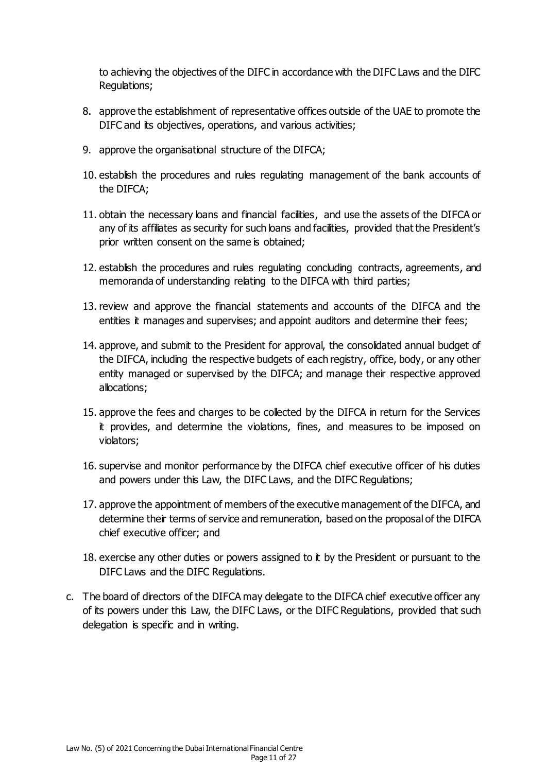to achieving the objectives of the DIFC in accordance with the DIFC Laws and the DIFC Regulations;

- 8. approve the establishment of representative offices outside of the UAE to promote the DIFC and its objectives, operations, and various activities;
- 9. approve the organisational structure of the DIFCA;
- 10. establish the procedures and rules regulating management of the bank accounts of the DIFCA;
- 11. obtain the necessary loans and financial facilities, and use the assets of the DIFCA or any of its affiliates as security for such loans and facilities, provided that the President's prior written consent on the same is obtained;
- 12. establish the procedures and rules regulating concluding contracts, agreements, and memoranda of understanding relating to the DIFCA with third parties;
- 13. review and approve the financial statements and accounts of the DIFCA and the entities it manages and supervises; and appoint auditors and determine their fees;
- 14. approve, and submit to the President for approval, the consolidated annual budget of the DIFCA, including the respective budgets of each registry, office, body, or any other entity managed or supervised by the DIFCA; and manage their respective approved allocations;
- 15. approve the fees and charges to be collected by the DIFCA in return for the Services it provides, and determine the violations, fines, and measures to be imposed on violators;
- 16. supervise and monitor performance by the DIFCA chief executive officer of his duties and powers under this Law, the DIFC Laws, and the DIFC Regulations;
- 17. approve the appointment of members of the executive management of the DIFCA, and determine their terms of service and remuneration, based on the proposal of the DIFCA chief executive officer; and
- 18. exercise any other duties or powers assigned to it by the President or pursuant to the DIFC Laws and the DIFC Regulations.
- c. The board of directors of the DIFCA may delegate to the DIFCA chief executive officer any of its powers under this Law, the DIFC Laws, or the DIFC Regulations, provided that such delegation is specific and in writing.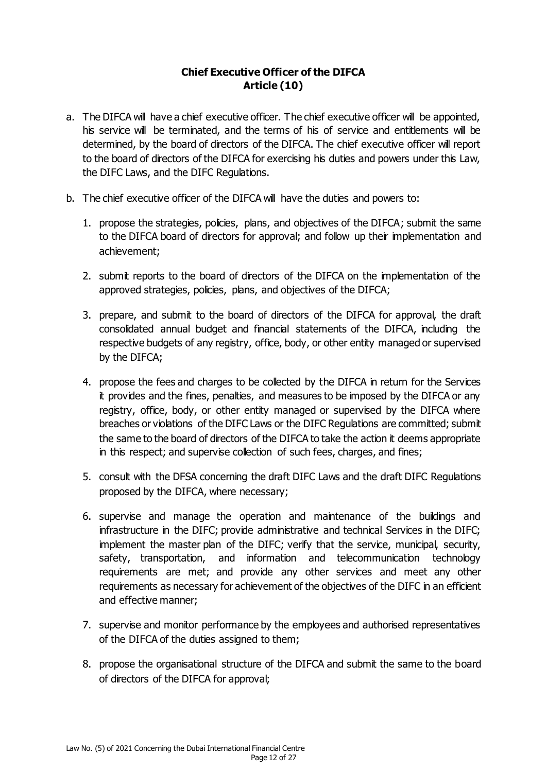#### **Chief Executive Officer of the DIFCA Article (10)**

- a. The DIFCA will have a chief executive officer. The chief executive officer will be appointed, his service will be terminated, and the terms of his of service and entitlements will be determined, by the board of directors of the DIFCA. The chief executive officer will report to the board of directors of the DIFCA for exercising his duties and powers under this Law, the DIFC Laws, and the DIFC Regulations.
- b. The chief executive officer of the DIFCA will have the duties and powers to:
	- 1. propose the strategies, policies, plans, and objectives of the DIFCA; submit the same to the DIFCA board of directors for approval; and follow up their implementation and achievement;
	- 2. submit reports to the board of directors of the DIFCA on the implementation of the approved strategies, policies, plans, and objectives of the DIFCA;
	- 3. prepare, and submit to the board of directors of the DIFCA for approval, the draft consolidated annual budget and financial statements of the DIFCA, including the respective budgets of any registry, office, body, or other entity managed or supervised by the DIFCA;
	- 4. propose the fees and charges to be collected by the DIFCA in return for the Services it provides and the fines, penalties, and measures to be imposed by the DIFCA or any registry, office, body, or other entity managed or supervised by the DIFCA where breaches or violations of the DIFC Laws or the DIFC Regulations are committed; submit the same to the board of directors of the DIFCA to take the action it deems appropriate in this respect; and supervise collection of such fees, charges, and fines;
	- 5. consult with the DFSA concerning the draft DIFC Laws and the draft DIFC Regulations proposed by the DIFCA, where necessary;
	- 6. supervise and manage the operation and maintenance of the buildings and infrastructure in the DIFC; provide administrative and technical Services in the DIFC; implement the master plan of the DIFC; verify that the service, municipal, security, safety, transportation, and information and telecommunication technology requirements are met; and provide any other services and meet any other requirements as necessary for achievement of the objectives of the DIFC in an efficient and effective manner;
	- 7. supervise and monitor performance by the employees and authorised representatives of the DIFCA of the duties assigned to them;
	- 8. propose the organisational structure of the DIFCA and submit the same to the board of directors of the DIFCA for approval;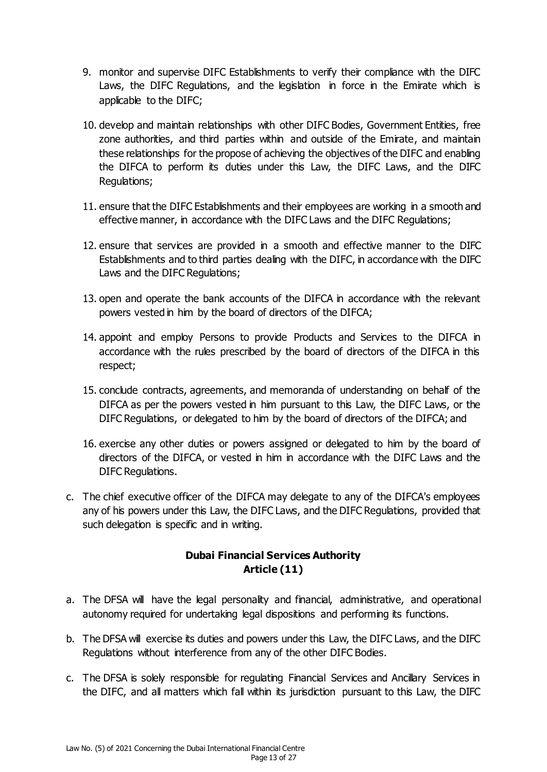- 9. monitor and supervise DIFC Establishments to verify their compliance with the DIFC Laws, the DIFC Regulations, and the legislation in force in the Emirate which is applicable to the DIFC;
- 10. develop and maintain relationships with other DIFC Bodies, Government Entities, free zone authorities, and third parties within and outside of the Emirate, and maintain these relationships for the propose of achieving the objectives of the DIFC and enabling the DIFCA to perform its duties under this Law, the DIFC Laws, and the DIFC Regulations;
- 11. ensure that the DIFC Establishments and their employees are working in a smooth and effective manner, in accordance with the DIFC Laws and the DIFC Regulations;
- 12. ensure that services are provided in a smooth and effective manner to the DIFC Establishments and to third parties dealing with the DIFC, in accordance with the DIFC Laws and the DIFC Regulations;
- 13. open and operate the bank accounts of the DIFCA in accordance with the relevant powers vested in him by the board of directors of the DIFCA;
- 14. appoint and employ Persons to provide Products and Services to the DIFCA in accordance with the rules prescribed by the board of directors of the DIFCA in this respect;
- 15. conclude contracts, agreements, and memoranda of understanding on behalf of the DIFCA as per the powers vested in him pursuant to this Law, the DIFC Laws, or the DIFC Regulations, or delegated to him by the board of directors of the DIFCA; and
- 16. exercise any other duties or powers assigned or delegated to him by the board of directors of the DIFCA, or vested in him in accordance with the DIFC Laws and the DIFC Regulations.
- c. The chief executive officer of the DIFCA may delegate to any of the DIFCA's employees any of his powers under this Law, the DIFC Laws, and the DIFC Regulations, provided that such delegation is specific and in writing.

#### **Dubai Financial Services Authority Article (11)**

- a. The DFSA will have the legal personality and financial, administrative, and operational autonomy required for undertaking legal dispositions and performing its functions.
- b. The DFSA will exercise its duties and powers under this Law, the DIFC Laws, and the DIFC Regulations without interference from any of the other DIFC Bodies.
- c. The DFSA is solely responsible for regulating Financial Services and Ancillary Services in the DIFC, and all matters which fall within its jurisdiction pursuant to this Law, the DIFC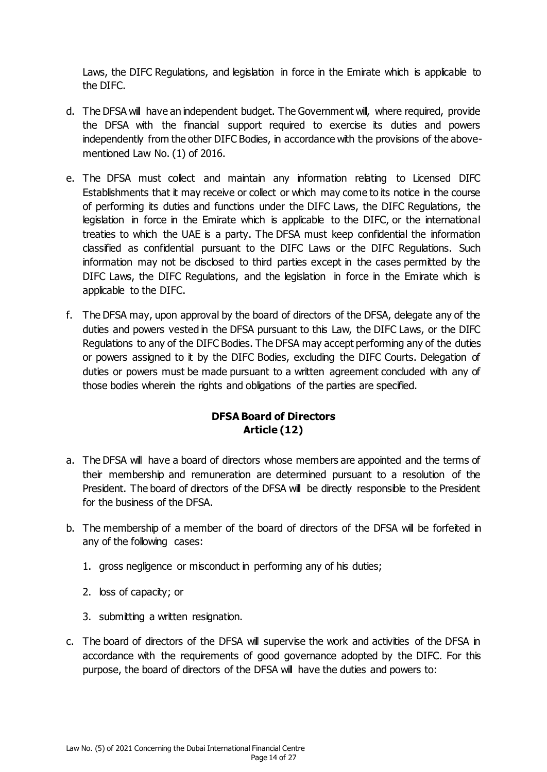Laws, the DIFC Regulations, and legislation in force in the Emirate which is applicable to the DIFC.

- d. The DFSA will have an independent budget. The Government will, where required, provide the DFSA with the financial support required to exercise its duties and powers independently from the other DIFC Bodies, in accordance with the provisions of the abovementioned Law No. (1) of 2016.
- e. The DFSA must collect and maintain any information relating to Licensed DIFC Establishments that it may receive or collect or which may come to its notice in the course of performing its duties and functions under the DIFC Laws, the DIFC Regulations, the legislation in force in the Emirate which is applicable to the DIFC, or the international treaties to which the UAE is a party. The DFSA must keep confidential the information classified as confidential pursuant to the DIFC Laws or the DIFC Regulations. Such information may not be disclosed to third parties except in the cases permitted by the DIFC Laws, the DIFC Regulations, and the legislation in force in the Emirate which is applicable to the DIFC.
- f. The DFSA may, upon approval by the board of directors of the DFSA, delegate any of the duties and powers vested in the DFSA pursuant to this Law, the DIFC Laws, or the DIFC Regulations to any of the DIFC Bodies. The DFSA may accept performing any of the duties or powers assigned to it by the DIFC Bodies, excluding the DIFC Courts. Delegation of duties or powers must be made pursuant to a written agreement concluded with any of those bodies wherein the rights and obligations of the parties are specified.

### **DFSA Board of Directors Article (12)**

- a. The DFSA will have a board of directors whose members are appointed and the terms of their membership and remuneration are determined pursuant to a resolution of the President. The board of directors of the DFSA will be directly responsible to the President for the business of the DFSA.
- b. The membership of a member of the board of directors of the DFSA will be forfeited in any of the following cases:
	- 1. gross negligence or misconduct in performing any of his duties;
	- 2. loss of capacity; or
	- 3. submitting a written resignation.
- c. The board of directors of the DFSA will supervise the work and activities of the DFSA in accordance with the requirements of good governance adopted by the DIFC. For this purpose, the board of directors of the DFSA will have the duties and powers to: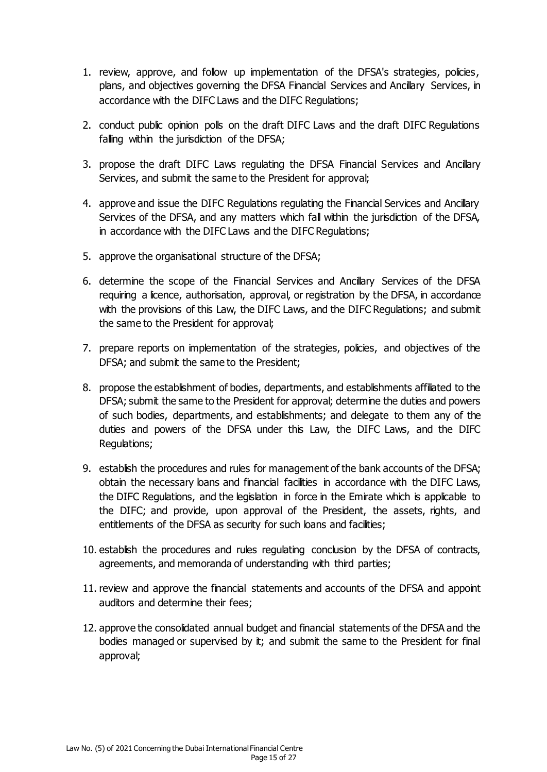- 1. review, approve, and follow up implementation of the DFSA's strategies, policies, plans, and objectives governing the DFSA Financial Services and Ancillary Services, in accordance with the DIFC Laws and the DIFC Regulations;
- 2. conduct public opinion polls on the draft DIFC Laws and the draft DIFC Regulations falling within the jurisdiction of the DFSA;
- 3. propose the draft DIFC Laws regulating the DFSA Financial Services and Ancillary Services, and submit the same to the President for approval;
- 4. approve and issue the DIFC Regulations regulating the Financial Services and Ancillary Services of the DFSA, and any matters which fall within the jurisdiction of the DFSA, in accordance with the DIFC Laws and the DIFC Regulations;
- 5. approve the organisational structure of the DFSA;
- 6. determine the scope of the Financial Services and Ancillary Services of the DFSA requiring a licence, authorisation, approval, or registration by the DFSA, in accordance with the provisions of this Law, the DIFC Laws, and the DIFC Regulations; and submit the same to the President for approval;
- 7. prepare reports on implementation of the strategies, policies, and objectives of the DFSA; and submit the same to the President;
- 8. propose the establishment of bodies, departments, and establishments affiliated to the DFSA; submit the same to the President for approval; determine the duties and powers of such bodies, departments, and establishments; and delegate to them any of the duties and powers of the DFSA under this Law, the DIFC Laws, and the DIFC Regulations;
- 9. establish the procedures and rules for management of the bank accounts of the DFSA; obtain the necessary loans and financial facilities in accordance with the DIFC Laws, the DIFC Regulations, and the legislation in force in the Emirate which is applicable to the DIFC; and provide, upon approval of the President, the assets, rights, and entitlements of the DFSA as security for such loans and facilities;
- 10. establish the procedures and rules regulating conclusion by the DFSA of contracts, agreements, and memoranda of understanding with third parties;
- 11. review and approve the financial statements and accounts of the DFSA and appoint auditors and determine their fees;
- 12. approve the consolidated annual budget and financial statements of the DFSA and the bodies managed or supervised by it; and submit the same to the President for final approval;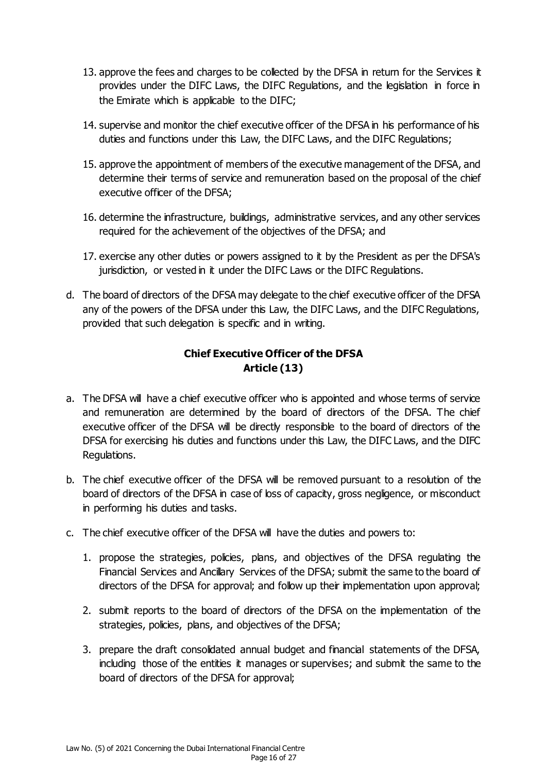- 13. approve the fees and charges to be collected by the DFSA in return for the Services it provides under the DIFC Laws, the DIFC Regulations, and the legislation in force in the Emirate which is applicable to the DIFC;
- 14. supervise and monitor the chief executive officer of the DFSA in his performance of his duties and functions under this Law, the DIFC Laws, and the DIFC Regulations;
- 15. approve the appointment of members of the executive management of the DFSA, and determine their terms of service and remuneration based on the proposal of the chief executive officer of the DFSA;
- 16. determine the infrastructure, buildings, administrative services, and any other services required for the achievement of the objectives of the DFSA; and
- 17. exercise any other duties or powers assigned to it by the President as per the DFSA's jurisdiction, or vested in it under the DIFC Laws or the DIFC Regulations.
- d. The board of directors of the DFSA may delegate to the chief executive officer of the DFSA any of the powers of the DFSA under this Law, the DIFC Laws, and the DIFC Regulations, provided that such delegation is specific and in writing.

## **Chief Executive Officer of the DFSA Article (13)**

- a. The DFSA will have a chief executive officer who is appointed and whose terms of service and remuneration are determined by the board of directors of the DFSA. The chief executive officer of the DFSA will be directly responsible to the board of directors of the DFSA for exercising his duties and functions under this Law, the DIFC Laws, and the DIFC Regulations.
- b. The chief executive officer of the DFSA will be removed pursuant to a resolution of the board of directors of the DFSA in case of loss of capacity, gross negligence, or misconduct in performing his duties and tasks.
- c. The chief executive officer of the DFSA will have the duties and powers to:
	- 1. propose the strategies, policies, plans, and objectives of the DFSA regulating the Financial Services and Ancillary Services of the DFSA; submit the same to the board of directors of the DFSA for approval; and follow up their implementation upon approval;
	- 2. submit reports to the board of directors of the DFSA on the implementation of the strategies, policies, plans, and objectives of the DFSA;
	- 3. prepare the draft consolidated annual budget and financial statements of the DFSA, including those of the entities it manages or supervises; and submit the same to the board of directors of the DFSA for approval;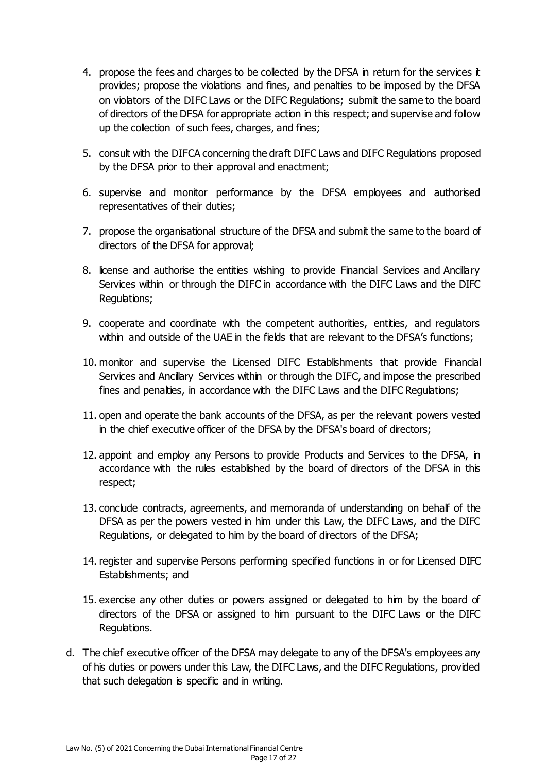- 4. propose the fees and charges to be collected by the DFSA in return for the services it provides; propose the violations and fines, and penalties to be imposed by the DFSA on violators of the DIFC Laws or the DIFC Regulations; submit the same to the board of directors of the DFSA for appropriate action in this respect; and supervise and follow up the collection of such fees, charges, and fines;
- 5. consult with the DIFCA concerning the draft DIFC Laws and DIFC Regulations proposed by the DFSA prior to their approval and enactment;
- 6. supervise and monitor performance by the DFSA employees and authorised representatives of their duties;
- 7. propose the organisational structure of the DFSA and submit the same to the board of directors of the DFSA for approval;
- 8. license and authorise the entities wishing to provide Financial Services and Ancillary Services within or through the DIFC in accordance with the DIFC Laws and the DIFC Regulations;
- 9. cooperate and coordinate with the competent authorities, entities, and regulators within and outside of the UAE in the fields that are relevant to the DFSA's functions;
- 10. monitor and supervise the Licensed DIFC Establishments that provide Financial Services and Ancillary Services within or through the DIFC, and impose the prescribed fines and penalties, in accordance with the DIFC Laws and the DIFC Regulations;
- 11. open and operate the bank accounts of the DFSA, as per the relevant powers vested in the chief executive officer of the DFSA by the DFSA's board of directors;
- 12. appoint and employ any Persons to provide Products and Services to the DFSA, in accordance with the rules established by the board of directors of the DFSA in this respect;
- 13. conclude contracts, agreements, and memoranda of understanding on behalf of the DFSA as per the powers vested in him under this Law, the DIFC Laws, and the DIFC Regulations, or delegated to him by the board of directors of the DFSA;
- 14. register and supervise Persons performing specified functions in or for Licensed DIFC Establishments; and
- 15. exercise any other duties or powers assigned or delegated to him by the board of directors of the DFSA or assigned to him pursuant to the DIFC Laws or the DIFC Regulations.
- d. The chief executive officer of the DFSA may delegate to any of the DFSA's employees any of his duties or powers under this Law, the DIFC Laws, and the DIFC Regulations, provided that such delegation is specific and in writing.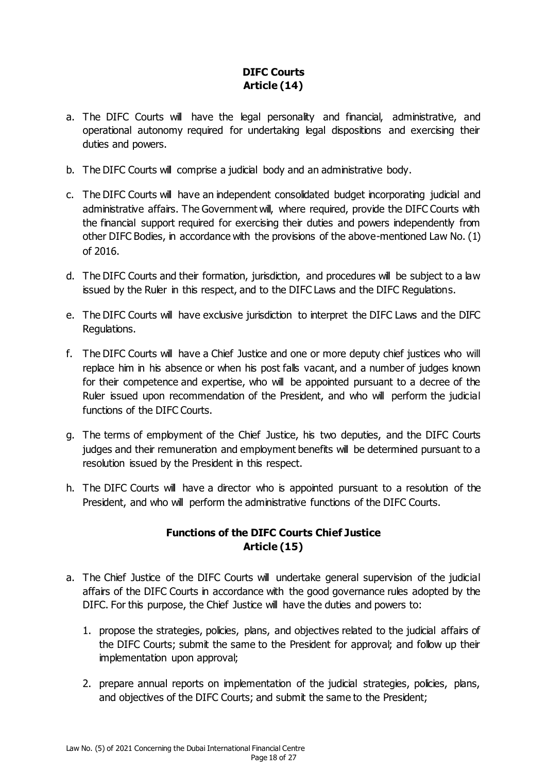# **DIFC Courts Article (14)**

- a. The DIFC Courts will have the legal personality and financial, administrative, and operational autonomy required for undertaking legal dispositions and exercising their duties and powers.
- b. The DIFC Courts will comprise a judicial body and an administrative body.
- c. The DIFC Courts will have an independent consolidated budget incorporating judicial and administrative affairs. The Government will, where required, provide the DIFC Courts with the financial support required for exercising their duties and powers independently from other DIFC Bodies, in accordance with the provisions of the above-mentioned Law No. (1) of 2016.
- d. The DIFC Courts and their formation, jurisdiction, and procedures will be subject to a law issued by the Ruler in this respect, and to the DIFC Laws and the DIFC Regulations.
- e. The DIFC Courts will have exclusive jurisdiction to interpret the DIFC Laws and the DIFC Regulations.
- f. The DIFC Courts will have a Chief Justice and one or more deputy chief justices who will replace him in his absence or when his post falls vacant, and a number of judges known for their competence and expertise, who will be appointed pursuant to a decree of the Ruler issued upon recommendation of the President, and who will perform the judicial functions of the DIFC Courts.
- g. The terms of employment of the Chief Justice, his two deputies, and the DIFC Courts judges and their remuneration and employment benefits will be determined pursuant to a resolution issued by the President in this respect.
- h. The DIFC Courts will have a director who is appointed pursuant to a resolution of the President, and who will perform the administrative functions of the DIFC Courts.

### **Functions of the DIFC Courts Chief Justice Article (15)**

- a. The Chief Justice of the DIFC Courts will undertake general supervision of the judicial affairs of the DIFC Courts in accordance with the good governance rules adopted by the DIFC. For this purpose, the Chief Justice will have the duties and powers to:
	- 1. propose the strategies, policies, plans, and objectives related to the judicial affairs of the DIFC Courts; submit the same to the President for approval; and follow up their implementation upon approval;
	- 2. prepare annual reports on implementation of the judicial strategies, policies, plans, and objectives of the DIFC Courts; and submit the same to the President;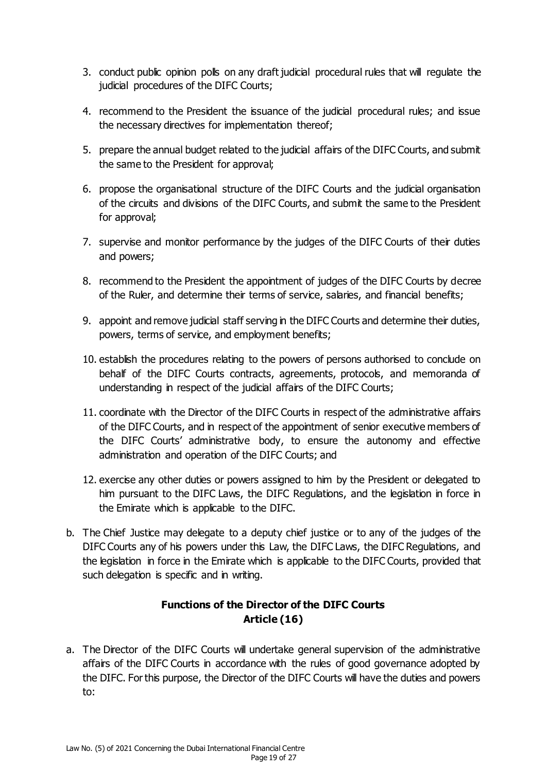- 3. conduct public opinion polls on any draft judicial procedural rules that will regulate the judicial procedures of the DIFC Courts;
- 4. recommend to the President the issuance of the judicial procedural rules; and issue the necessary directives for implementation thereof;
- 5. prepare the annual budget related to the judicial affairs of the DIFC Courts, and submit the same to the President for approval;
- 6. propose the organisational structure of the DIFC Courts and the judicial organisation of the circuits and divisions of the DIFC Courts, and submit the same to the President for approval;
- 7. supervise and monitor performance by the judges of the DIFC Courts of their duties and powers;
- 8. recommend to the President the appointment of judges of the DIFC Courts by decree of the Ruler, and determine their terms of service, salaries, and financial benefits;
- 9. appoint and remove judicial staff serving in the DIFC Courts and determine their duties, powers, terms of service, and employment benefits;
- 10. establish the procedures relating to the powers of persons authorised to conclude on behalf of the DIFC Courts contracts, agreements, protocols, and memoranda of understanding in respect of the judicial affairs of the DIFC Courts;
- 11. coordinate with the Director of the DIFC Courts in respect of the administrative affairs of the DIFC Courts, and in respect of the appointment of senior executive members of the DIFC Courts' administrative body, to ensure the autonomy and effective administration and operation of the DIFC Courts; and
- 12. exercise any other duties or powers assigned to him by the President or delegated to him pursuant to the DIFC Laws, the DIFC Regulations, and the legislation in force in the Emirate which is applicable to the DIFC.
- b. The Chief Justice may delegate to a deputy chief justice or to any of the judges of the DIFC Courts any of his powers under this Law, the DIFC Laws, the DIFC Regulations, and the legislation in force in the Emirate which is applicable to the DIFC Courts, provided that such delegation is specific and in writing.

### **Functions of the Director of the DIFC Courts Article (16)**

a. The Director of the DIFC Courts will undertake general supervision of the administrative affairs of the DIFC Courts in accordance with the rules of good governance adopted by the DIFC. For this purpose, the Director of the DIFC Courts will have the duties and powers to: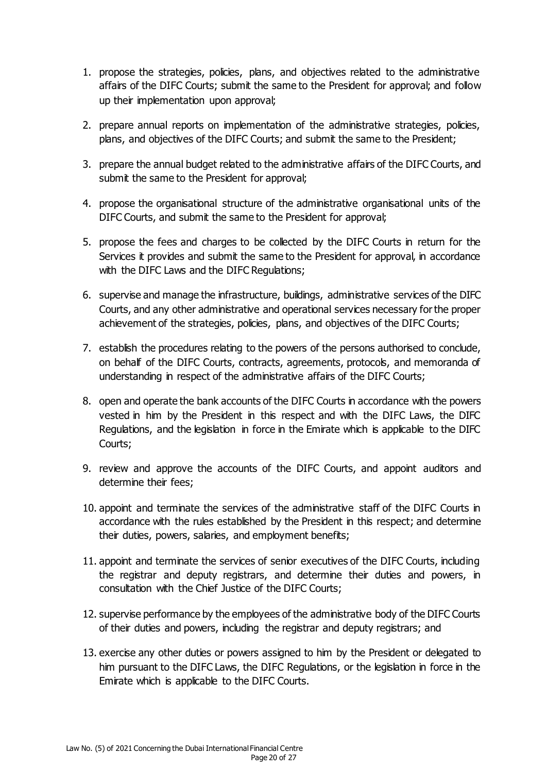- 1. propose the strategies, policies, plans, and objectives related to the administrative affairs of the DIFC Courts; submit the same to the President for approval; and follow up their implementation upon approval;
- 2. prepare annual reports on implementation of the administrative strategies, policies, plans, and objectives of the DIFC Courts; and submit the same to the President;
- 3. prepare the annual budget related to the administrative affairs of the DIFC Courts, and submit the same to the President for approval;
- 4. propose the organisational structure of the administrative organisational units of the DIFC Courts, and submit the same to the President for approval;
- 5. propose the fees and charges to be collected by the DIFC Courts in return for the Services it provides and submit the same to the President for approval, in accordance with the DIFC Laws and the DIFC Regulations;
- 6. supervise and manage the infrastructure, buildings, administrative services of the DIFC Courts, and any other administrative and operational services necessary for the proper achievement of the strategies, policies, plans, and objectives of the DIFC Courts;
- 7. establish the procedures relating to the powers of the persons authorised to conclude, on behalf of the DIFC Courts, contracts, agreements, protocols, and memoranda of understanding in respect of the administrative affairs of the DIFC Courts;
- 8. open and operate the bank accounts of the DIFC Courts in accordance with the powers vested in him by the President in this respect and with the DIFC Laws, the DIFC Regulations, and the legislation in force in the Emirate which is applicable to the DIFC Courts;
- 9. review and approve the accounts of the DIFC Courts, and appoint auditors and determine their fees;
- 10. appoint and terminate the services of the administrative staff of the DIFC Courts in accordance with the rules established by the President in this respect; and determine their duties, powers, salaries, and employment benefits;
- 11. appoint and terminate the services of senior executives of the DIFC Courts, including the registrar and deputy registrars, and determine their duties and powers, in consultation with the Chief Justice of the DIFC Courts;
- 12. supervise performance by the employees of the administrative body of the DIFC Courts of their duties and powers, including the registrar and deputy registrars; and
- 13. exercise any other duties or powers assigned to him by the President or delegated to him pursuant to the DIFC Laws, the DIFC Regulations, or the legislation in force in the Emirate which is applicable to the DIFC Courts.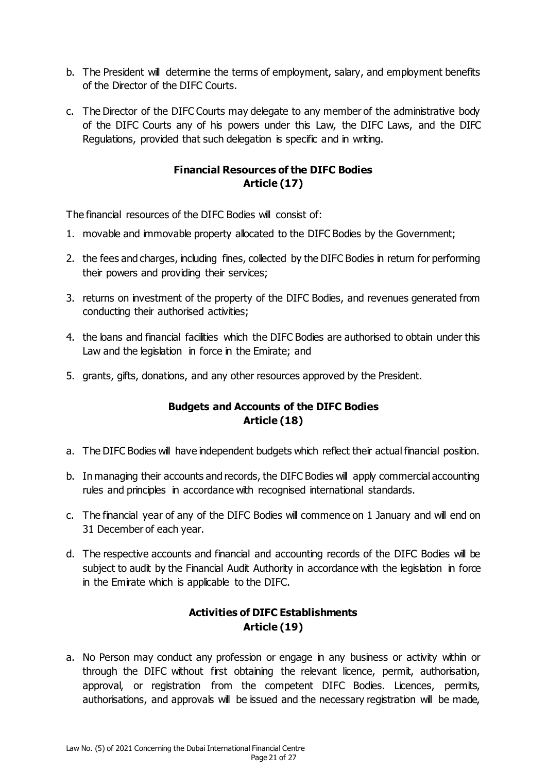- b. The President will determine the terms of employment, salary, and employment benefits of the Director of the DIFC Courts.
- c. The Director of the DIFC Courts may delegate to any member of the administrative body of the DIFC Courts any of his powers under this Law, the DIFC Laws, and the DIFC Regulations, provided that such delegation is specific and in writing.

#### **Financial Resources of the DIFC Bodies Article (17)**

The financial resources of the DIFC Bodies will consist of:

- 1. movable and immovable property allocated to the DIFC Bodies by the Government;
- 2. the fees and charges, including fines, collected by the DIFC Bodies in return for performing their powers and providing their services;
- 3. returns on investment of the property of the DIFC Bodies, and revenues generated from conducting their authorised activities;
- 4. the loans and financial facilities which the DIFC Bodies are authorised to obtain under this Law and the legislation in force in the Emirate; and
- 5. grants, gifts, donations, and any other resources approved by the President.

### **Budgets and Accounts of the DIFC Bodies Article (18)**

- a. The DIFC Bodies will have independent budgets which reflect their actual financial position.
- b. In managing their accounts and records, the DIFC Bodies will apply commercial accounting rules and principles in accordance with recognised international standards.
- c. The financial year of any of the DIFC Bodies will commence on 1 January and will end on 31 December of each year.
- d. The respective accounts and financial and accounting records of the DIFC Bodies will be subject to audit by the Financial Audit Authority in accordance with the legislation in force in the Emirate which is applicable to the DIFC.

### **Activities of DIFC Establishments Article (19)**

a. No Person may conduct any profession or engage in any business or activity within or through the DIFC without first obtaining the relevant licence, permit, authorisation, approval, or registration from the competent DIFC Bodies. Licences, permits, authorisations, and approvals will be issued and the necessary registration will be made,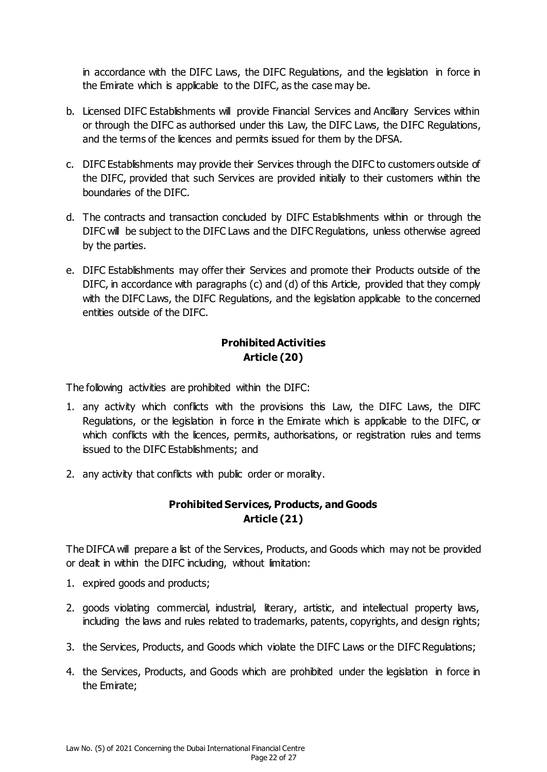in accordance with the DIFC Laws, the DIFC Regulations, and the legislation in force in the Emirate which is applicable to the DIFC, as the case may be.

- b. Licensed DIFC Establishments will provide Financial Services and Ancillary Services within or through the DIFC as authorised under this Law, the DIFC Laws, the DIFC Regulations, and the terms of the licences and permits issued for them by the DFSA.
- c. DIFC Establishments may provide their Services through the DIFC to customers outside of the DIFC, provided that such Services are provided initially to their customers within the boundaries of the DIFC.
- d. The contracts and transaction concluded by DIFC Establishments within or through the DIFC will be subject to the DIFC Laws and the DIFC Regulations, unless otherwise agreed by the parties.
- e. DIFC Establishments may offer their Services and promote their Products outside of the DIFC, in accordance with paragraphs (c) and (d) of this Article, provided that they comply with the DIFC Laws, the DIFC Regulations, and the legislation applicable to the concerned entities outside of the DIFC.

# **Prohibited Activities Article (20)**

The following activities are prohibited within the DIFC:

- 1. any activity which conflicts with the provisions this Law, the DIFC Laws, the DIFC Regulations, or the legislation in force in the Emirate which is applicable to the DIFC, or which conflicts with the licences, permits, authorisations, or registration rules and terms issued to the DIFC Establishments; and
- 2. any activity that conflicts with public order or morality.

# **Prohibited Services, Products, and Goods Article (21)**

The DIFCA will prepare a list of the Services, Products, and Goods which may not be provided or dealt in within the DIFC including, without limitation:

- 1. expired goods and products;
- 2. goods violating commercial, industrial, literary, artistic, and intellectual property laws, including the laws and rules related to trademarks, patents, copyrights, and design rights;
- 3. the Services, Products, and Goods which violate the DIFC Laws or the DIFC Regulations;
- 4. the Services, Products, and Goods which are prohibited under the legislation in force in the Emirate;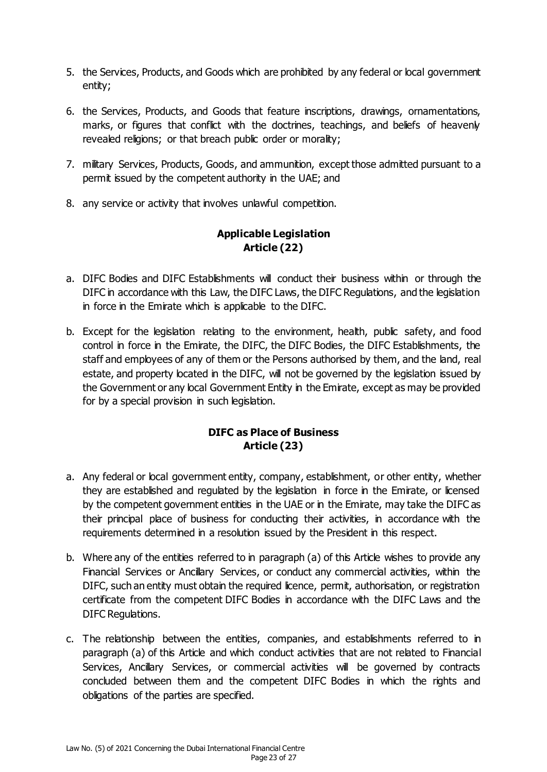- 5. the Services, Products, and Goods which are prohibited by any federal or local government entity;
- 6. the Services, Products, and Goods that feature inscriptions, drawings, ornamentations, marks, or figures that conflict with the doctrines, teachings, and beliefs of heavenly revealed religions; or that breach public order or morality;
- 7. military Services, Products, Goods, and ammunition, except those admitted pursuant to a permit issued by the competent authority in the UAE; and
- 8. any service or activity that involves unlawful competition.

## **Applicable Legislation Article (22)**

- a. DIFC Bodies and DIFC Establishments will conduct their business within or through the DIFC in accordance with this Law, the DIFC Laws, the DIFC Regulations, and the legislation in force in the Emirate which is applicable to the DIFC.
- b. Except for the legislation relating to the environment, health, public safety, and food control in force in the Emirate, the DIFC, the DIFC Bodies, the DIFC Establishments, the staff and employees of any of them or the Persons authorised by them, and the land, real estate, and property located in the DIFC, will not be governed by the legislation issued by the Government or any local Government Entity in the Emirate, except as may be provided for by a special provision in such legislation.

### **DIFC as Place of Business Article (23)**

- a. Any federal or local government entity, company, establishment, or other entity, whether they are established and regulated by the legislation in force in the Emirate, or licensed by the competent government entities in the UAE or in the Emirate, may take the DIFC as their principal place of business for conducting their activities, in accordance with the requirements determined in a resolution issued by the President in this respect.
- b. Where any of the entities referred to in paragraph (a) of this Article wishes to provide any Financial Services or Ancillary Services, or conduct any commercial activities, within the DIFC, such an entity must obtain the required licence, permit, authorisation, or registration certificate from the competent DIFC Bodies in accordance with the DIFC Laws and the DIFC Regulations.
- c. The relationship between the entities, companies, and establishments referred to in paragraph (a) of this Article and which conduct activities that are not related to Financial Services, Ancillary Services, or commercial activities will be governed by contracts concluded between them and the competent DIFC Bodies in which the rights and obligations of the parties are specified.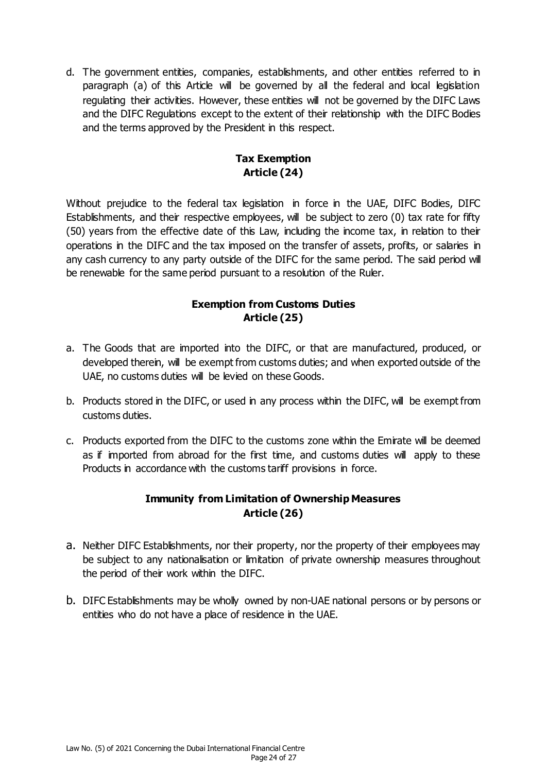d. The government entities, companies, establishments, and other entities referred to in paragraph (a) of this Article will be governed by all the federal and local legislation regulating their activities. However, these entities will not be governed by the DIFC Laws and the DIFC Regulations except to the extent of their relationship with the DIFC Bodies and the terms approved by the President in this respect.

### **Tax Exemption Article (24)**

Without prejudice to the federal tax legislation in force in the UAE, DIFC Bodies, DIFC Establishments, and their respective employees, will be subject to zero (0) tax rate for fifty (50) years from the effective date of this Law, including the income tax, in relation to their operations in the DIFC and the tax imposed on the transfer of assets, profits, or salaries in any cash currency to any party outside of the DIFC for the same period. The said period will be renewable for the same period pursuant to a resolution of the Ruler.

### **Exemption from Customs Duties Article (25)**

- a. The Goods that are imported into the DIFC, or that are manufactured, produced, or developed therein, will be exempt from customs duties; and when exported outside of the UAE, no customs duties will be levied on these Goods.
- b. Products stored in the DIFC, or used in any process within the DIFC, will be exempt from customs duties.
- c. Products exported from the DIFC to the customs zone within the Emirate will be deemed as if imported from abroad for the first time, and customs duties will apply to these Products in accordance with the customs tariff provisions in force.

### **Immunity from Limitation of Ownership Measures Article (26)**

- a. Neither DIFC Establishments, nor their property, nor the property of their employees may be subject to any nationalisation or limitation of private ownership measures throughout the period of their work within the DIFC.
- b. DIFC Establishments may be wholly owned by non-UAE national persons or by persons or entities who do not have a place of residence in the UAE.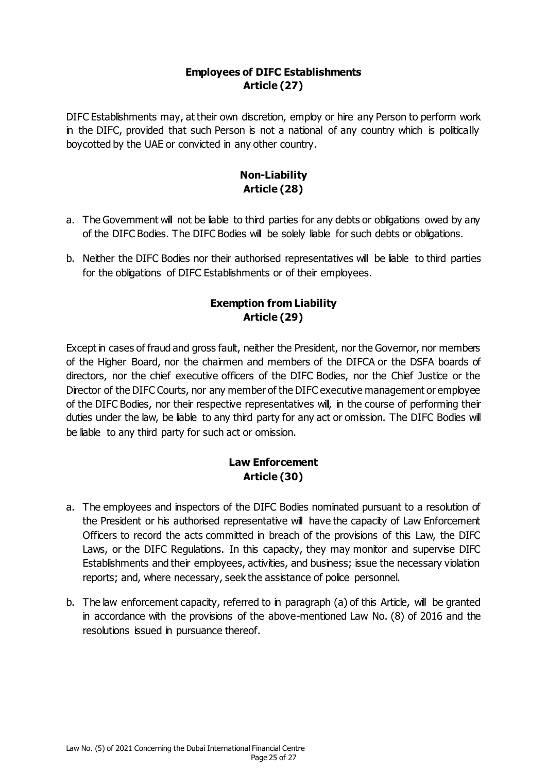#### **Employees of DIFC Establishments Article (27)**

DIFC Establishments may, at their own discretion, employ or hire any Person to perform work in the DIFC, provided that such Person is not a national of any country which is politically boycotted by the UAE or convicted in any other country.

## **Non-Liability Article (28)**

- a. The Government will not be liable to third parties for any debts or obligations owed by any of the DIFC Bodies. The DIFC Bodies will be solely liable for such debts or obligations.
- b. Neither the DIFC Bodies nor their authorised representatives will be liable to third parties for the obligations of DIFC Establishments or of their employees.

### **Exemption from Liability Article (29)**

Except in cases of fraud and gross fault, neither the President, nor the Governor, nor members of the Higher Board, nor the chairmen and members of the DIFCA or the DSFA boards of directors, nor the chief executive officers of the DIFC Bodies, nor the Chief Justice or the Director of the DIFC Courts, nor any member of the DIFC executive management or employee of the DIFC Bodies, nor their respective representatives will, in the course of performing their duties under the law, be liable to any third party for any act or omission. The DIFC Bodies will be liable to any third party for such act or omission.

# **Law Enforcement Article (30)**

- a. The employees and inspectors of the DIFC Bodies nominated pursuant to a resolution of the President or his authorised representative will have the capacity of Law Enforcement Officers to record the acts committed in breach of the provisions of this Law, the DIFC Laws, or the DIFC Regulations. In this capacity, they may monitor and supervise DIFC Establishments and their employees, activities, and business; issue the necessary violation reports; and, where necessary, seek the assistance of police personnel.
- b. The law enforcement capacity, referred to in paragraph (a) of this Article, will be granted in accordance with the provisions of the above-mentioned Law No. (8) of 2016 and the resolutions issued in pursuance thereof.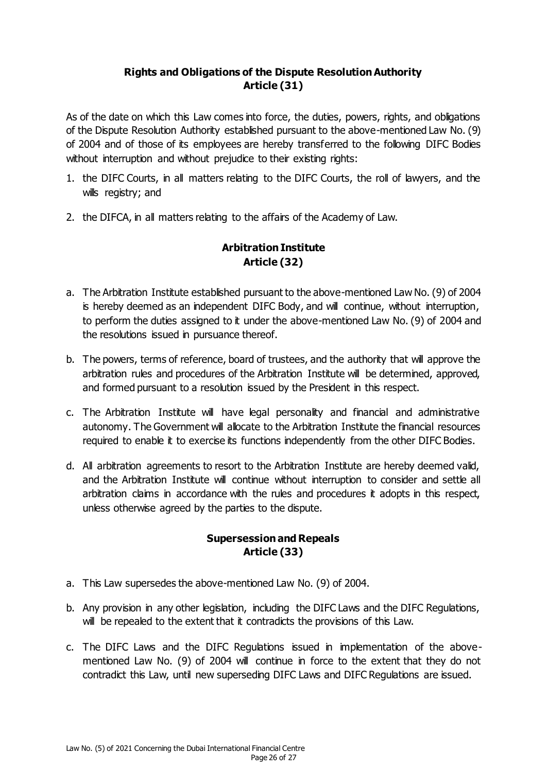### **Rights and Obligations of the Dispute Resolution Authority Article (31)**

As of the date on which this Law comes into force, the duties, powers, rights, and obligations of the Dispute Resolution Authority established pursuant to the above-mentioned Law No. (9) of 2004 and of those of its employees are hereby transferred to the following DIFC Bodies without interruption and without prejudice to their existing rights:

- 1. the DIFC Courts, in all matters relating to the DIFC Courts, the roll of lawyers, and the wills registry; and
- 2. the DIFCA, in all matters relating to the affairs of the Academy of Law.

# **Arbitration Institute Article (32)**

- a. The Arbitration Institute established pursuant to the above-mentioned Law No. (9) of 2004 is hereby deemed as an independent DIFC Body, and will continue, without interruption, to perform the duties assigned to it under the above-mentioned Law No. (9) of 2004 and the resolutions issued in pursuance thereof.
- b. The powers, terms of reference, board of trustees, and the authority that will approve the arbitration rules and procedures of the Arbitration Institute will be determined, approved, and formed pursuant to a resolution issued by the President in this respect.
- c. The Arbitration Institute will have legal personality and financial and administrative autonomy. The Government will allocate to the Arbitration Institute the financial resources required to enable it to exercise its functions independently from the other DIFC Bodies.
- d. All arbitration agreements to resort to the Arbitration Institute are hereby deemed valid, and the Arbitration Institute will continue without interruption to consider and settle all arbitration claims in accordance with the rules and procedures it adopts in this respect, unless otherwise agreed by the parties to the dispute.

### **Supersession and Repeals Article (33)**

- a. This Law supersedes the above-mentioned Law No. (9) of 2004.
- b. Any provision in any other legislation, including the DIFC Laws and the DIFC Regulations, will be repealed to the extent that it contradicts the provisions of this Law.
- c. The DIFC Laws and the DIFC Regulations issued in implementation of the abovementioned Law No. (9) of 2004 will continue in force to the extent that they do not contradict this Law, until new superseding DIFC Laws and DIFC Regulations are issued.